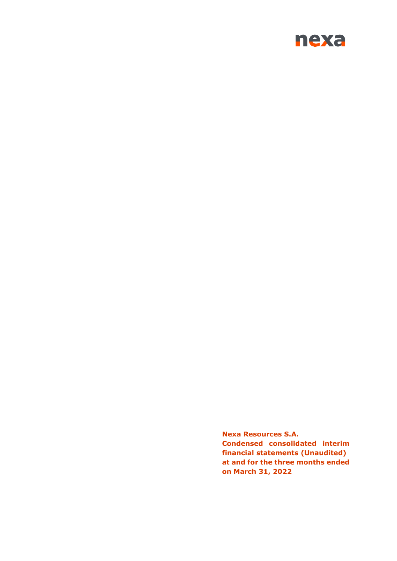

**Nexa Resources S.A. Condensed consolidated interim financial statements (Unaudited) at and for the three months ended on March 31, 2022**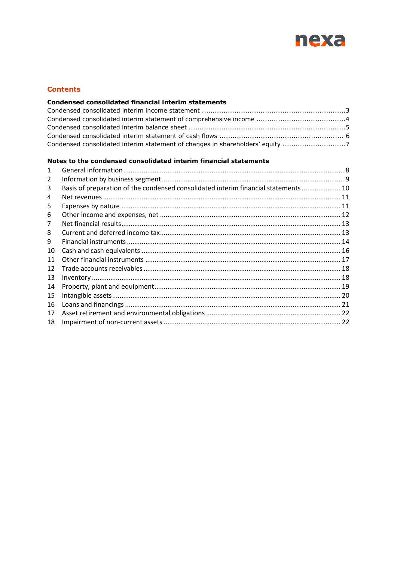

## **Contents**

## Condensed consolidated financial interim statements

| Condensed consolidated interim statement of changes in shareholders' equity 7 |  |
|-------------------------------------------------------------------------------|--|

### Notes to the condensed consolidated interim financial statements

| 1  |                                                                                     |  |
|----|-------------------------------------------------------------------------------------|--|
| 2  |                                                                                     |  |
| 3  | Basis of preparation of the condensed consolidated interim financial statements  10 |  |
| 4  |                                                                                     |  |
| 5  |                                                                                     |  |
| 6  |                                                                                     |  |
| 7  |                                                                                     |  |
| 8  |                                                                                     |  |
| 9  |                                                                                     |  |
| 10 |                                                                                     |  |
| 11 |                                                                                     |  |
| 12 |                                                                                     |  |
| 13 |                                                                                     |  |
| 14 |                                                                                     |  |
| 15 |                                                                                     |  |
| 16 |                                                                                     |  |
| 17 |                                                                                     |  |
| 18 |                                                                                     |  |
|    |                                                                                     |  |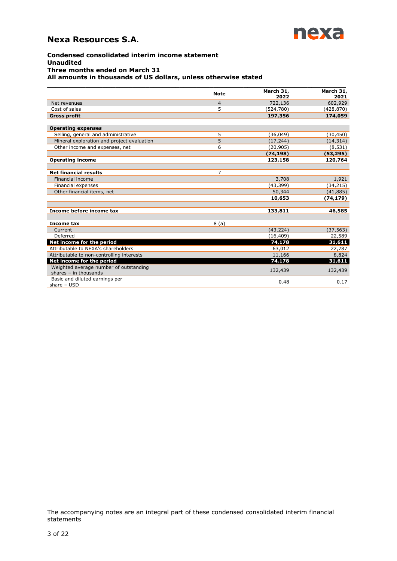

#### **Condensed consolidated interim income statement Unaudited Three months ended on March 31 All amounts in thousands of US dollars, unless otherwise stated**

|                                                                   | <b>Note</b>    | March 31,<br>2022 | March 31,<br>2021 |
|-------------------------------------------------------------------|----------------|-------------------|-------------------|
| Net revenues                                                      | $\overline{4}$ | 722,136           | 602,929           |
| Cost of sales                                                     | 5              | (524, 780)        | (428, 870)        |
| <b>Gross profit</b>                                               |                | 197,356           | 174,059           |
| <b>Operating expenses</b>                                         |                |                   |                   |
| Selling, general and administrative                               | 5              | (36, 049)         | (30, 450)         |
| Mineral exploration and project evaluation                        | 5              | (17, 244)         | (14, 314)         |
| Other income and expenses, net                                    | 6              | (20, 905)         | (8, 531)          |
|                                                                   |                | (74, 198)         | (53, 295)         |
| <b>Operating income</b>                                           |                | 123,158           | 120,764           |
|                                                                   |                |                   |                   |
| <b>Net financial results</b>                                      | $\overline{7}$ |                   |                   |
| Financial income                                                  |                | 3,708             | 1,921             |
| Financial expenses                                                |                | (43, 399)         | (34, 215)         |
| Other financial items, net                                        |                | 50,344            | (41, 885)         |
|                                                                   |                | 10,653            | (74, 179)         |
| Income before income tax                                          |                | 133,811           | 46,585            |
| Income tax                                                        | 8(a)           |                   |                   |
| Current                                                           |                | (43, 224)         | (37, 563)         |
| Deferred                                                          |                | (16, 409)         | 22,589            |
| Net income for the period                                         |                | 74,178            | 31,611            |
| Attributable to NEXA's shareholders                               |                | 63,012            | 22,787            |
| Attributable to non-controlling interests                         |                | 11,166            | 8,824             |
| Net income for the period                                         |                | 74,178            | 31,611            |
| Weighted average number of outstanding<br>shares $-$ in thousands |                | 132,439           | 132,439           |
| Basic and diluted earnings per<br>share $-$ USD                   |                | 0.48              | 0.17              |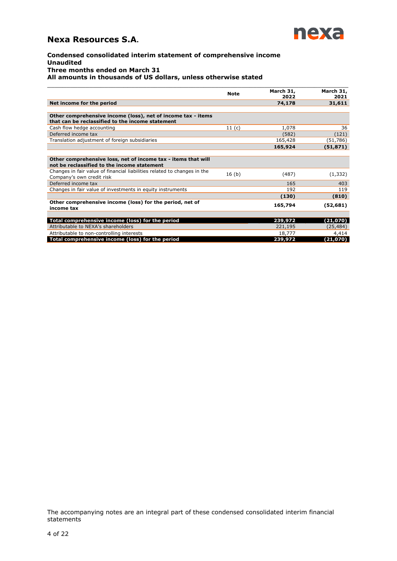

#### **Condensed consolidated interim statement of comprehensive income Unaudited Three months ended on March 31 All amounts in thousands of US dollars, unless otherwise stated**

|                                                                                                                  | <b>Note</b>       | March 31,<br>2022 | March 31,<br>2021 |
|------------------------------------------------------------------------------------------------------------------|-------------------|-------------------|-------------------|
| Net income for the period                                                                                        |                   | 74,178            | 31,611            |
| Other comprehensive income (loss), net of income tax - items<br>that can be reclassified to the income statement |                   |                   |                   |
| Cash flow hedge accounting                                                                                       | 11 $(c)$          | 1,078             | 36                |
| Deferred income tax                                                                                              |                   | (582)             | (121)             |
| Translation adjustment of foreign subsidiaries                                                                   |                   | 165,428           | (51, 786)         |
|                                                                                                                  |                   | 165,924           | (51, 871)         |
| Other comprehensive loss, net of income tax - items that will<br>not be reclassified to the income statement     |                   |                   |                   |
| Changes in fair value of financial liabilities related to changes in the<br>Company's own credit risk            | 16 <sub>(b)</sub> | (487)             | (1, 332)          |
| Deferred income tax                                                                                              |                   | 165               | 403               |
| Changes in fair value of investments in equity instruments                                                       |                   | 192               | 119               |
|                                                                                                                  |                   | (130)             | (810)             |
| Other comprehensive income (loss) for the period, net of<br>income tax                                           |                   | 165,794           | (52,681)          |
|                                                                                                                  |                   |                   |                   |
| Total comprehensive income (loss) for the period                                                                 |                   | 239,972           | (21,070)          |
| Attributable to NEXA's shareholders                                                                              |                   | 221,195           | (25, 484)         |
| Attributable to non-controlling interests                                                                        |                   | 18,777            | 4,414             |
| Total comprehensive income (loss) for the period                                                                 |                   | 239,972           | (21,070)          |

\_\_\_\_\_\_\_\_\_\_\_\_\_\_\_\_\_\_\_\_\_\_\_\_\_\_\_\_\_\_\_\_\_\_\_\_\_\_\_\_\_\_\_\_\_\_\_\_\_\_\_\_\_\_\_\_\_\_\_\_\_\_\_\_\_\_\_\_\_\_\_\_\_\_\_\_\_\_\_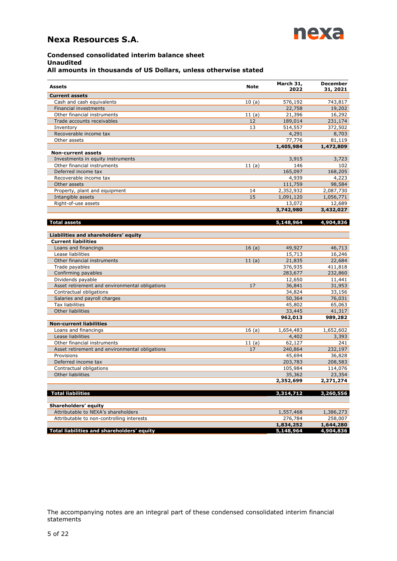

# **Condensed consolidated interim balance sheet Unaudited**

## **All amounts in thousands of US Dollars, unless otherwise stated**

| Assets                                         | <b>Note</b> | March 31,<br>2022 | <b>December</b><br>31, 2021 |
|------------------------------------------------|-------------|-------------------|-----------------------------|
| <b>Current assets</b>                          |             |                   |                             |
| Cash and cash equivalents                      | 10(a)       | 576,192           | 743,817                     |
| <b>Financial investments</b>                   |             | 22,758            | 19,202                      |
| Other financial instruments                    | 11(a)       | 21,396            | 16,292                      |
| Trade accounts receivables                     | 12          | 189,014           | 231,174                     |
| Inventory                                      | 13          | 514,557           | 372,502                     |
| Recoverable income tax                         |             | 4,291             | 8,703                       |
| Other assets                                   |             | 77,776            | 81,119                      |
|                                                |             | 1,405,984         | 1,472,809                   |
| <b>Non-current assets</b>                      |             |                   |                             |
| Investments in equity instruments              |             | 3,915             | 3,723                       |
| Other financial instruments                    | 11(a)       | 146               | 102                         |
| Deferred income tax                            |             | 165,097           | 168,205                     |
| Recoverable income tax                         |             | 4,939             | 4,223                       |
| Other assets                                   |             | 111,759           | 98,584                      |
| Property, plant and equipment                  | 14          | 2,352,932         | 2,087,730                   |
| Intangible assets                              | 15          | 1,091,120         | 1,056,771                   |
| Right-of-use assets                            |             | 13,072            | 12,689                      |
|                                                |             | 3,742,980         | 3,432,027                   |
|                                                |             |                   |                             |
| <b>Total assets</b>                            |             | 5,148,964         | 4,904,836                   |
| Liabilities and shareholders' equity           |             |                   |                             |
| <b>Current liabilities</b>                     |             |                   |                             |
| Loans and financings                           | 16(a)       | 49,927            | 46,713                      |
| Lease liabilities                              |             | 15,713            | 16,246                      |
| Other financial instruments                    | 11(a)       | 21,835            | 22,684                      |
| Trade payables                                 |             | 376,935           | 411,818                     |
| Confirming payables                            |             | 283,677           | 232,860                     |
| Dividends payable                              |             | 12,650            | 11,441                      |
| Asset retirement and environmental obligations | 17          | 36,841            | 31,953                      |
| Contractual obligations                        |             | 34,824            | 33,156                      |
| Salaries and payroll charges                   |             | 50,364            | 76,031                      |
| Tax liabilities                                |             | 45,802            | 65,063                      |
| Other liabilities                              |             | 33,445            | 41,317                      |
|                                                |             | 962,013           | 989,282                     |
| <b>Non-current liabilities</b>                 |             |                   |                             |
| Loans and financings                           | 16(a)       | 1,654,483         | 1,652,602                   |
| Lease liabilities                              |             | 4,402             | 3,393                       |
| Other financial instruments                    | 11(a)       | 62,127            | 241                         |
| Asset retirement and environmental obligations | 17          | 240,864           | 232,197                     |
| Provisions                                     |             | 45,694            | 36,828                      |
| Deferred income tax                            |             | 203,783           | 208,583                     |
| Contractual obligations                        |             | 105,984           | 114,076                     |
| <b>Other liabilities</b>                       |             | 35,362            | 23,354                      |
|                                                |             | 2,352,699         | 2,271,274                   |
|                                                |             |                   |                             |
| <b>Total liabilities</b>                       |             | 3,314,712         | 3,260,556                   |
| Shareholders' equity                           |             |                   |                             |
| Attributable to NEXA's shareholders            |             | 1,557,468         | 1,386,273                   |
| Attributable to non-controlling interests      |             | 276,784           | 258,007                     |
|                                                |             | 1,834,252         | 1,644,280                   |
| Total liabilities and shareholders' equity     |             | 5,148,964         | 4,904,836                   |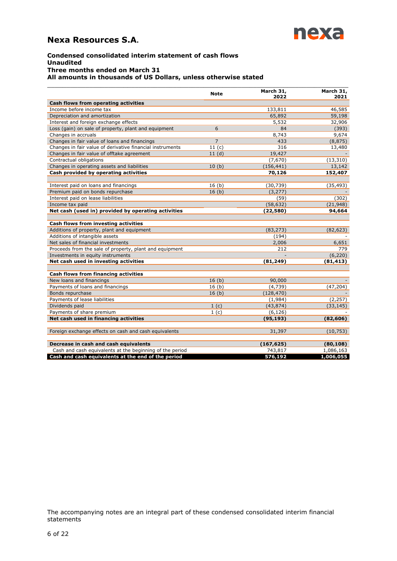

#### **Condensed consolidated interim statement of cash flows Unaudited Three months ended on March 31 All amounts in thousands of US Dollars, unless otherwise stated**

|                                                           | <b>Note</b>       | March 31,  | March 31, |
|-----------------------------------------------------------|-------------------|------------|-----------|
| Cash flows from operating activities                      |                   | 2022       | 2021      |
| Income before income tax                                  |                   | 133,811    | 46,585    |
| Depreciation and amortization                             |                   | 65,892     | 59,198    |
| Interest and foreign exchange effects                     |                   | 5,532      | 32,906    |
| Loss (gain) on sale of property, plant and equipment      | 6                 | 84         | (393)     |
| Changes in accruals                                       |                   | 8,743      | 9,674     |
| Changes in fair value of loans and financings             | $\overline{7}$    | 433        | (8, 875)  |
| Changes in fair value of derivative financial instruments | 11 <sub>(c)</sub> | 316        | 13,480    |
| Changes in fair value of offtake agreement                | 11(d)             | 19,427     |           |
| Contractual obligations                                   |                   | (7,670)    | (13, 310) |
| Changes in operating assets and liabilities               | 10(b)             | (156, 441) | 13,142    |
| Cash provided by operating activities                     |                   | 70,126     | 152,407   |
|                                                           |                   |            |           |
| Interest paid on loans and financings                     | 16(b)             | (30, 739)  | (35, 493) |
| Premium paid on bonds repurchase                          | 16(b)             | (3, 277)   |           |
| Interest paid on lease liabilities                        |                   | (59)       | (302)     |
| Income tax paid                                           |                   | (58, 632)  | (21,948)  |
|                                                           |                   |            |           |
| Net cash (used in) provided by operating activities       |                   | (22, 580)  | 94,664    |
| Cash flows from investing activities                      |                   |            |           |
| Additions of property, plant and equipment                |                   | (83, 273)  | (82, 623) |
| Additions of intangible assets                            |                   | (194)      |           |
| Net sales of financial investments                        |                   | 2,006      | 6,651     |
| Proceeds from the sale of property, plant and equipment   |                   | 212        | 779       |
| Investments in equity instruments                         |                   |            | (6, 220)  |
| Net cash used in investing activities                     |                   | (81, 249)  | (81, 413) |
|                                                           |                   |            |           |
| Cash flows from financing activities                      |                   |            |           |
| New loans and financings                                  | 16 <sub>(b)</sub> | 90,000     |           |
| Payments of loans and financings                          | 16(b)             | (4,739)    | (47, 204) |
| Bonds repurchase                                          | 16 <sub>(b)</sub> | (128, 470) |           |
| Payments of lease liabilities                             |                   | (1,984)    | (2, 257)  |
| Dividends paid                                            | 1 <sub>(c)</sub>  | (43, 874)  | (33, 145) |
| Payments of share premium                                 | 1 <sub>(c)</sub>  | (6, 126)   |           |
| Net cash used in financing activities                     |                   | (95, 193)  | (82, 606) |
|                                                           |                   |            |           |
| Foreign exchange effects on cash and cash equivalents     |                   | 31,397     | (10, 753) |
|                                                           |                   |            |           |
| Decrease in cash and cash equivalents                     |                   | (167, 625) | (80, 108) |
| Cash and cash equivalents at the beginning of the period  |                   | 743,817    | 1,086,163 |
| Cash and cash equivalents at the end of the period        |                   | 576,192    | 1,006,055 |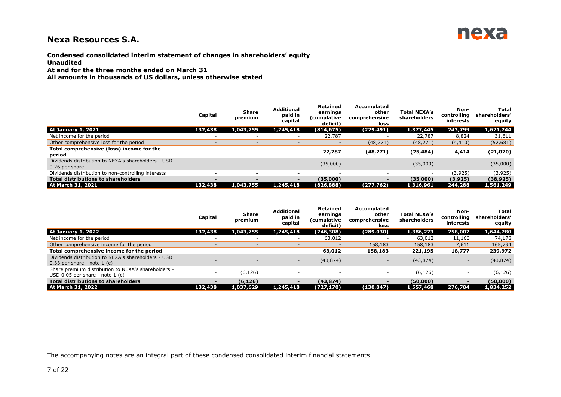

**Condensed consolidated interim statement of changes in shareholders' equity Unaudited**

**At and for the three months ended on March 31**

**All amounts in thousands of US dollars, unless otherwise stated**

|                                                                       | Capital                  | <b>Share</b><br>premium  | <b>Additional</b><br>paid in<br>capital | <b>Retained</b><br>earnings<br>(cumulative<br>deficit) | Accumulated<br>other<br>comprehensive<br>loss | <b>Total NEXA's</b><br>shareholders | Non-<br>controllina<br>interests | Total<br>shareholders'<br>equity |
|-----------------------------------------------------------------------|--------------------------|--------------------------|-----------------------------------------|--------------------------------------------------------|-----------------------------------------------|-------------------------------------|----------------------------------|----------------------------------|
| <b>At January 1, 2021</b>                                             | 132,438                  | 1,043,755                | 1,245,418                               | (814, 675)                                             | (229,491)                                     | 1,377,445                           | 243,799                          | 1,621,244                        |
| Net income for the period                                             |                          |                          | $\overline{\phantom{a}}$                | 22,787                                                 | -                                             | 22,787                              | 8,824                            | 31,611                           |
| Other comprehensive loss for the period                               |                          | $\overline{\phantom{0}}$ | $\overline{\phantom{a}}$                | $\overline{\phantom{0}}$                               | (48, 271)                                     | (48, 271)                           | (4, 410)                         | (52, 681)                        |
| Total comprehensive (loss) income for the<br>period                   | -                        | $\overline{\phantom{0}}$ | $\overline{\phantom{0}}$                | 22,787                                                 | (48, 271)                                     | (25, 484)                           | 4,414                            | (21,070)                         |
| Dividends distribution to NEXA's shareholders - USD<br>0.26 per share |                          | $\overline{\phantom{0}}$ |                                         | (35,000)                                               | $\overline{\phantom{a}}$                      | (35,000)                            | $\overline{\phantom{a}}$         | (35,000)                         |
| Dividends distribution to non-controlling interests                   | -                        | <u>_</u>                 | $\overline{\phantom{0}}$                |                                                        | -                                             |                                     | (3,925)                          | (3,925)                          |
| <b>Total distributions to shareholders</b>                            | $\overline{\phantom{0}}$ |                          | $\blacksquare$                          | (35,000)                                               | $\blacksquare$                                | (35,000)                            | (3,925)                          | (38, 925)                        |
| At March 31, 2021                                                     | 132,438                  | 1,043,755                | 1,245,418                               | (826, 888)                                             | (277, 762)                                    | 1,316,961                           | 244,288                          | 1,561,249                        |

 $\Box \Box \Box \Box \Box \Box \Box \Box \Box$  . The set of the set of the set of the set of the set of the set of the set of the set of the set of the set of the set of the set of the set of the set of the set of the set of the set of the set of

|                                                                                          | Capital                  | Share<br>premium | <b>Additional</b><br>paid in<br>capital | <b>Retained</b><br>earnings<br>(cumulative<br>deficit) | <b>Accumulated</b><br>other<br>comprehensive<br>loss | <b>Total NEXA's</b><br>shareholders | Non-<br>controlling<br>interests | Total<br>shareholders'<br>equity |
|------------------------------------------------------------------------------------------|--------------------------|------------------|-----------------------------------------|--------------------------------------------------------|------------------------------------------------------|-------------------------------------|----------------------------------|----------------------------------|
| <b>At January 1, 2022</b>                                                                | 132,438                  | 1,043,755        | 1,245,418                               | (746,308)                                              | (289,030)                                            | 1,386,273                           | 258,007                          | 1,644,280                        |
| Net income for the period                                                                |                          |                  | $\overline{\phantom{0}}$                | 63,012                                                 |                                                      | 63,012                              | 11,166                           | 74,178                           |
| Other comprehensive income for the period                                                |                          |                  | $\overline{\phantom{0}}$                |                                                        | 158,183                                              | 158,183                             | 7,611                            | 165,794                          |
| Total comprehensive income for the period                                                |                          |                  | $\overline{\phantom{a}}$                | 63,012                                                 | 158,183                                              | 221,195                             | 18,777                           | 239,972                          |
| Dividends distribution to NEXA's shareholders - USD<br>$0.33$ per share - note 1 (c)     | $\overline{\phantom{a}}$ |                  | $\sim$                                  | (43, 874)                                              | $\overline{\phantom{0}}$                             | (43, 874)                           | $\overline{\phantom{a}}$         | (43, 874)                        |
| Share premium distribution to NEXA's shareholders -<br>USD 0.05 per share - note $1$ (c) |                          | (6, 126)         |                                         |                                                        |                                                      | (6, 126)                            | ۰                                | (6, 126)                         |
| <b>Total distributions to shareholders</b>                                               |                          | (6, 126)         | $\blacksquare$                          | (43, 874)                                              | $\blacksquare$                                       | (50,000)                            | $\overline{\phantom{0}}$         | (50,000)                         |
| At March 31, 2022                                                                        | 132,438                  | 1,037,629        | 1,245,418                               | (727, 170)                                             | (130, 847)                                           | 1,557,468                           | 276,784                          | 1,834,252                        |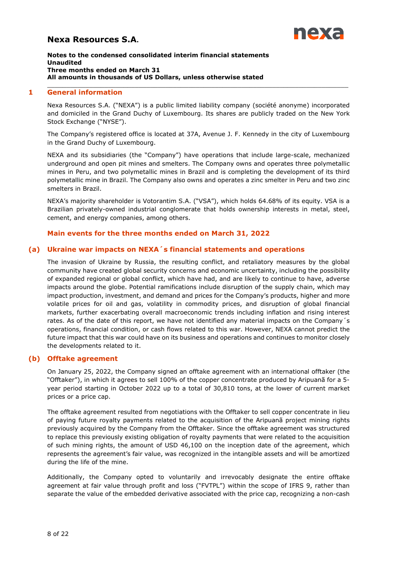

#### **Notes to the condensed consolidated interim financial statements Unaudited Three months ended on March 31 All amounts in thousands of US Dollars, unless otherwise stated**

### **1 General information**

Nexa Resources S.A. ("NEXA") is a public limited liability company (société anonyme) incorporated and domiciled in the Grand Duchy of Luxembourg. Its shares are publicly traded on the New York Stock Exchange ("NYSE").

<span id="page-7-0"></span>\_\_\_\_\_\_\_\_\_\_\_\_\_\_\_\_\_\_\_\_\_\_\_\_\_\_\_\_\_\_\_\_\_\_\_\_\_\_\_\_\_\_\_\_\_\_\_\_\_\_\_\_\_\_\_\_\_\_\_\_\_\_\_\_\_\_\_\_\_\_\_\_\_\_\_\_\_\_\_

The Company's registered office is located at 37A, Avenue J. F. Kennedy in the city of Luxembourg in the Grand Duchy of Luxembourg.

NEXA and its subsidiaries (the "Company") have operations that include large-scale, mechanized underground and open pit mines and smelters. The Company owns and operates three polymetallic mines in Peru, and two polymetallic mines in Brazil and is completing the development of its third polymetallic mine in Brazil. The Company also owns and operates a zinc smelter in Peru and two zinc smelters in Brazil.

NEXA's majority shareholder is Votorantim S.A. ("VSA"), which holds 64.68% of its equity. VSA is a Brazilian privately-owned industrial conglomerate that holds ownership interests in metal, steel, cement, and energy companies, among others.

## **Main events for the three months ended on March 31, 2022**

### **(a) Ukraine war impacts on NEXA´s financial statements and operations**

The invasion of Ukraine by Russia, the resulting conflict, and retaliatory measures by the global community have created global security concerns and economic uncertainty, including the possibility of expanded regional or global conflict, which have had, and are likely to continue to have, adverse impacts around the globe. Potential ramifications include disruption of the supply chain, which may impact production, investment, and demand and prices for the Company's products, higher and more volatile prices for oil and gas, volatility in commodity prices, and disruption of global financial markets, further exacerbating overall macroeconomic trends including inflation and rising interest rates. As of the date of this report, we have not identified any material impacts on the Company's operations, financial condition, or cash flows related to this war. However, NEXA cannot predict the future impact that this war could have on its business and operations and continues to monitor closely the developments related to it.

#### **(b) Offtake agreement**

On January 25, 2022, the Company signed an offtake agreement with an international offtaker (the "Offtaker"), in which it agrees to sell 100% of the copper concentrate produced by Aripuanã for a 5 year period starting in October 2022 up to a total of 30,810 tons, at the lower of current market prices or a price cap.

The offtake agreement resulted from negotiations with the Offtaker to sell copper concentrate in lieu of paying future royalty payments related to the acquisition of the Aripuanã project mining rights previously acquired by the Company from the Offtaker. Since the offtake agreement was structured to replace this previously existing obligation of royalty payments that were related to the acquisition of such mining rights, the amount of USD 46,100 on the inception date of the agreement, which represents the agreement's fair value, was recognized in the intangible assets and will be amortized during the life of the mine.

Additionally, the Company opted to voluntarily and irrevocably designate the entire offtake agreement at fair value through profit and loss ("FVTPL") within the scope of IFRS 9, rather than separate the value of the embedded derivative associated with the price cap, recognizing a non-cash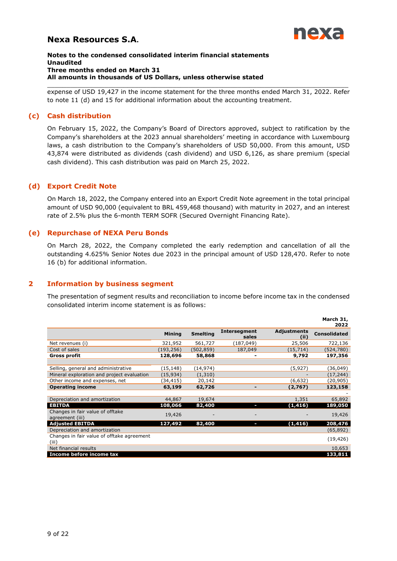

#### **Notes to the condensed consolidated interim financial statements Unaudited Three months ended on March 31 All amounts in thousands of US Dollars, unless otherwise stated**

\_\_\_\_\_\_\_\_\_\_\_\_\_\_\_\_\_\_\_\_\_\_\_\_\_\_\_\_\_\_\_\_\_\_\_\_\_\_\_\_\_\_\_\_\_\_\_\_\_\_\_\_\_\_\_\_\_\_\_\_\_\_\_\_\_\_\_\_\_\_\_\_\_\_\_\_\_\_\_ expense of USD 19,427 in the income statement for the three months ended March 31, 2022. Refer to note 11 (d) and 15 for additional information about the accounting treatment.

## **(c) Cash distribution**

On February 15, 2022, the Company's Board of Directors approved, subject to ratification by the Company's shareholders at the 2023 annual shareholders' meeting in accordance with Luxembourg laws, a cash distribution to the Company's shareholders of USD 50,000. From this amount, USD 43,874 were distributed as dividends (cash dividend) and USD 6,126, as share premium (special cash dividend). This cash distribution was paid on March 25, 2022.

## **(d) Export Credit Note**

On March 18, 2022, the Company entered into an Export Credit Note agreement in the total principal amount of USD 90,000 (equivalent to BRL 459,468 thousand) with maturity in 2027, and an interest rate of 2.5% plus the 6-month TERM SOFR (Secured Overnight Financing Rate).

## **(e) Repurchase of NEXA Peru Bonds**

On March 28, 2022, the Company completed the early redemption and cancellation of all the outstanding 4.625% Senior Notes due 2023 in the principal amount of USD 128,470. Refer to note 16 (b) for additional information.

## **2 Information by business segment**

<span id="page-8-0"></span>The presentation of segment results and reconciliation to income before income tax in the condensed consolidated interim income statement is as follows:

|                                                     |               |                 |                       |                            | March 31,<br>2022   |
|-----------------------------------------------------|---------------|-----------------|-----------------------|----------------------------|---------------------|
|                                                     | <b>Mining</b> | <b>Smelting</b> | Intersegment<br>sales | <b>Adjustments</b><br>(ii) | <b>Consolidated</b> |
| Net revenues (i)                                    | 321,952       | 561,727         | (187, 049)            | 25,506                     | 722,136             |
| Cost of sales                                       | (193,256)     | (502, 859)      | 187,049               | (15, 714)                  | (524,780)           |
| <b>Gross profit</b>                                 | 128,696       | 58,868          |                       | 9,792                      | 197,356             |
|                                                     |               |                 |                       |                            |                     |
| Selling, general and administrative                 | (15, 148)     | (14, 974)       |                       | (5, 927)                   | (36,049)            |
| Mineral exploration and project evaluation          | (15, 934)     | (1,310)         |                       |                            | (17, 244)           |
| Other income and expenses, net                      | (34,415)      | 20,142          |                       | (6,632)                    | (20, 905)           |
| <b>Operating income</b>                             | 63,199        | 62,726          |                       | (2,767)                    | 123,158             |
|                                                     |               |                 |                       |                            |                     |
| Depreciation and amortization                       | 44,867        | 19,674          |                       | 1,351                      | 65,892              |
| <b>EBITDA</b>                                       | 108,066       | 82,400          | ı                     | (1, 416)                   | 189,050             |
| Changes in fair value of offtake<br>agreement (iii) | 19,426        |                 |                       |                            | 19,426              |
| <b>Adjusted EBITDA</b>                              | 127,492       | 82,400          | U                     | (1, 416)                   | 208,476             |
| Depreciation and amortization                       |               |                 |                       |                            | (65,892)            |
| Changes in fair value of offtake agreement<br>(iii) |               |                 |                       |                            | (19, 426)           |
| Net financial results                               |               |                 |                       |                            | 10,653              |
| Income before income tax                            |               |                 |                       |                            | 133,811             |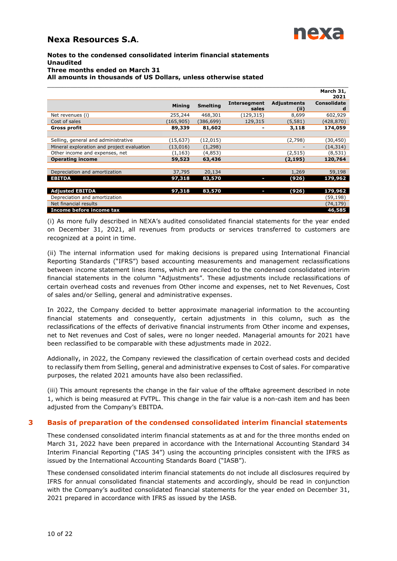

#### **Notes to the condensed consolidated interim financial statements Unaudited Three months ended on March 31 All amounts in thousands of US Dollars, unless otherwise stated**

|                                            |               |                 |                     |                    | March 31,          |
|--------------------------------------------|---------------|-----------------|---------------------|--------------------|--------------------|
|                                            |               |                 |                     |                    | 2021               |
|                                            | <b>Mining</b> | <b>Smelting</b> | <b>Intersegment</b> | <b>Adjustments</b> | <b>Consolidate</b> |
|                                            |               |                 | sales               | (ii)               | d                  |
| Net revenues (i)                           | 255,244       | 468,301         | (129,315)           | 8,699              | 602,929            |
| Cost of sales                              | (165, 905)    | (386, 699)      | 129,315             | (5, 581)           | (428, 870)         |
| Gross profit                               | 89,339        | 81,602          |                     | 3,118              | 174,059            |
|                                            |               |                 |                     |                    |                    |
| Selling, general and administrative        | (15, 637)     | (12, 015)       |                     | (2,798)            | (30, 450)          |
| Mineral exploration and project evaluation | (13,016)      | (1, 298)        |                     |                    | (14, 314)          |
| Other income and expenses, net             | (1, 163)      | (4,853)         |                     | (2, 515)           | (8, 531)           |
| <b>Operating income</b>                    | 59,523        | 63,436          |                     | (2, 195)           | 120,764            |
|                                            |               |                 |                     |                    |                    |
| Depreciation and amortization              | 37,795        | 20,134          |                     | 1,269              | 59,198             |
| <b>EBITDA</b>                              | 97,318        | 83,570          | I                   | (926)              | 179,962            |
|                                            |               |                 |                     |                    |                    |
| <b>Adjusted EBITDA</b>                     | 97,318        | 83,570          | ı                   | (926)              | 179,962            |
| Depreciation and amortization              |               |                 |                     |                    | (59,198)           |
| Net financial results                      |               |                 |                     |                    | (74, 179)          |
| Income before income tax                   |               |                 |                     |                    | 46,585             |

(i) As more fully described in NEXA's audited consolidated financial statements for the year ended on December 31, 2021, all revenues from products or services transferred to customers are recognized at a point in time.

(ii) The internal information used for making decisions is prepared using International Financial Reporting Standards ("IFRS") based accounting measurements and management reclassifications between income statement lines items, which are reconciled to the condensed consolidated interim financial statements in the column "Adjustments". These adjustments include reclassifications of certain overhead costs and revenues from Other income and expenses, net to Net Revenues, Cost of sales and/or Selling, general and administrative expenses.

In 2022, the Company decided to better approximate managerial information to the accounting financial statements and consequently, certain adjustments in this column, such as the reclassifications of the effects of derivative financial instruments from Other income and expenses, net to Net revenues and Cost of sales, were no longer needed. Managerial amounts for 2021 have been reclassified to be comparable with these adjustments made in 2022.

Addionally, in 2022, the Company reviewed the classification of certain overhead costs and decided to reclassify them from Selling, general and administrative expenses to Cost of sales. For comparative purposes, the related 2021 amounts have also been reclassified.

(iii) This amount represents the change in the fair value of the offtake agreement described in note 1, which is being measured at FVTPL. This change in the fair value is a non-cash item and has been adjusted from the Company's EBITDA.

## **3 Basis of preparation of the condensed consolidated interim financial statements**

<span id="page-9-0"></span>These condensed consolidated interim financial statements as at and for the three months ended on March 31, 2022 have been prepared in accordance with the International Accounting Standard 34 Interim Financial Reporting ("IAS 34") using the accounting principles consistent with the IFRS as issued by the International Accounting Standards Board ("IASB").

These condensed consolidated interim financial statements do not include all disclosures required by IFRS for annual consolidated financial statements and accordingly, should be read in conjunction with the Company's audited consolidated financial statements for the year ended on December 31, 2021 prepared in accordance with IFRS as issued by the IASB.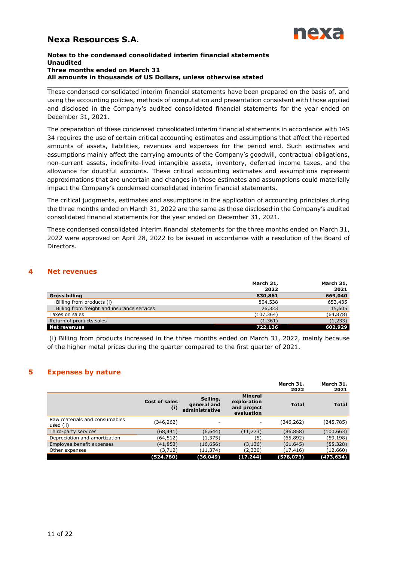

#### **Notes to the condensed consolidated interim financial statements Unaudited Three months ended on March 31 All amounts in thousands of US Dollars, unless otherwise stated**

\_\_\_\_\_\_\_\_\_\_\_\_\_\_\_\_\_\_\_\_\_\_\_\_\_\_\_\_\_\_\_\_\_\_\_\_\_\_\_\_\_\_\_\_\_\_\_\_\_\_\_\_\_\_\_\_\_\_\_\_\_\_\_\_\_\_\_\_\_\_\_\_\_\_\_\_\_\_\_ These condensed consolidated interim financial statements have been prepared on the basis of, and using the accounting policies, methods of computation and presentation consistent with those applied and disclosed in the Company's audited consolidated financial statements for the year ended on December 31, 2021.

The preparation of these condensed consolidated interim financial statements in accordance with IAS 34 requires the use of certain critical accounting estimates and assumptions that affect the reported amounts of assets, liabilities, revenues and expenses for the period end. Such estimates and assumptions mainly affect the carrying amounts of the Company's goodwill, contractual obligations, non-current assets, indefinite-lived intangible assets, inventory, deferred income taxes, and the allowance for doubtful accounts. These critical accounting estimates and assumptions represent approximations that are uncertain and changes in those estimates and assumptions could materially impact the Company's condensed consolidated interim financial statements.

The critical judgments, estimates and assumptions in the application of accounting principles during the three months ended on March 31, 2022 are the same as those disclosed in the Company's audited consolidated financial statements for the year ended on December 31, 2021.

These condensed consolidated interim financial statements for the three months ended on March 31, 2022 were approved on April 28, 2022 to be issued in accordance with a resolution of the Board of Directors.

## **4 Net revenues**

<span id="page-10-0"></span>

|                                             | March 31,<br>2022 | March 31,<br>2021 |
|---------------------------------------------|-------------------|-------------------|
| <b>Gross billing</b>                        | 830,861           | 669,040           |
| Billing from products (i)                   | 804,538           | 653,435           |
| Billing from freight and insurance services | 26,323            | 15,605            |
| Taxes on sales                              | (107,364)         | (64, 878)         |
| Return of products sales                    | (1, 361)          | (1, 233)          |
| Net revenues                                | 722,136           | 602,929           |

(i) Billing from products increased in the three months ended on March 31, 2022, mainly because of the higher metal prices during the quarter compared to the first quarter of 2021.

## **5 Expenses by nature**

<span id="page-10-1"></span>

|                                            |                             |                                           |                                                            | March 31,<br>2022 | March 31,<br>2021 |
|--------------------------------------------|-----------------------------|-------------------------------------------|------------------------------------------------------------|-------------------|-------------------|
|                                            | <b>Cost of sales</b><br>(i) | Selling,<br>general and<br>administrative | <b>Mineral</b><br>exploration<br>and project<br>evaluation | <b>Total</b>      | <b>Total</b>      |
| Raw materials and consumables<br>used (ii) | (346,262)                   | ۰                                         | -                                                          | (346,262)         | (245,785)         |
| Third-party services                       | (68,441)                    | (6, 644)                                  | (11, 773)                                                  | (86, 858)         | (100, 663)        |
| Depreciation and amortization              | (64,512)                    | (1,375)                                   | (5)                                                        | (65, 892)         | (59, 198)         |
| Employee benefit expenses                  | (41,853)                    | (16,656)                                  | (3, 136)                                                   | (61, 645)         | (55, 328)         |
| Other expenses                             | (3,712)                     | (11,374)                                  | (2,330)                                                    | (17, 416)         | (12,660)          |
|                                            | (524,780)                   | (36, 049)                                 | (17, 244)                                                  | (578, 073)        | (473,634)         |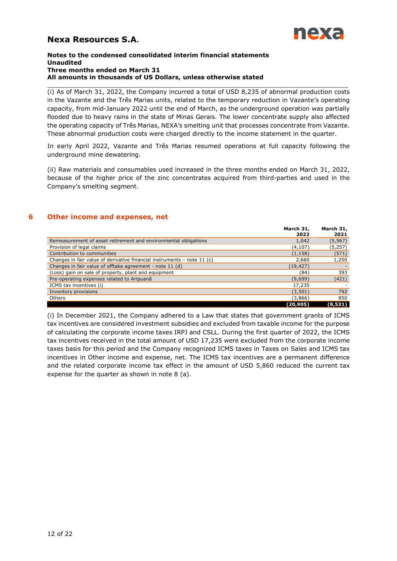

#### **Notes to the condensed consolidated interim financial statements Unaudited Three months ended on March 31 All amounts in thousands of US Dollars, unless otherwise stated**

\_\_\_\_\_\_\_\_\_\_\_\_\_\_\_\_\_\_\_\_\_\_\_\_\_\_\_\_\_\_\_\_\_\_\_\_\_\_\_\_\_\_\_\_\_\_\_\_\_\_\_\_\_\_\_\_\_\_\_\_\_\_\_\_\_\_\_\_\_\_\_\_\_\_\_\_\_\_\_ (i) As of March 31, 2022, the Company incurred a total of USD 8,235 of abnormal production costs in the Vazante and the Três Marias units, related to the temporary reduction in Vazante's operating capacity, from mid-January 2022 until the end of March, as the underground operation was partially flooded due to heavy rains in the state of Minas Gerais. The lower concentrate supply also affected the operating capacity of Três Marias, NEXA's smelting unit that processes concentrate from Vazante. These abnormal production costs were charged directly to the income statement in the quarter.

In early April 2022, Vazante and Três Marias resumed operations at full capacity following the underground mine dewatering.

(ii) Raw materials and consumables used increased in the three months ended on March 31, 2022, because of the higher price of the zinc concentrates acquired from third-parties and used in the Company's smelting segment.

## **6 Other income and expenses, net**

<span id="page-11-0"></span>

|                                                                         | March 31,<br>2022 | March 31,<br>2021 |
|-------------------------------------------------------------------------|-------------------|-------------------|
| Remeasurement of asset retirement and environmental obligations         | 1,042             | (5, 567)          |
| Provision of legal claims                                               | (4,107)           | (5,257)           |
| Contribution to communities                                             | (1, 158)          | (571)             |
| Changes in fair value of derivative financial instruments - note 11 (c) | 2,660             | 1,250             |
| Changes in fair value of offtake agreement - note 11 (d)                | (19, 427)         |                   |
| (Loss) gain on sale of property, plant and equipment                    | (84)              | 393               |
| Pre-operating expenses related to Aripuanã                              | (9,699)           | (421)             |
| ICMS tax incentives (i)                                                 | 17,235            |                   |
| Inventory provisions                                                    | (3,501)           | 792               |
| Others                                                                  | (3,866)           | 850               |
|                                                                         | (20,905)          | (8,531)           |

(i) In December 2021, the Company adhered to a Law that states that government grants of ICMS tax incentives are considered investment subsidies and excluded from taxable income for the purpose of calculating the corporate income taxes IRPJ and CSLL. During the first quarter of 2022, the ICMS tax incentives received in the total amount of USD 17,235 were excluded from the corporate income taxes basis for this period and the Company recognized ICMS taxes in Taxes on Sales and ICMS tax incentives in Other income and expense, net. The ICMS tax incentives are a permanent difference and the related corporate income tax effect in the amount of USD 5,860 reduced the current tax expense for the quarter as shown in note 8 (a).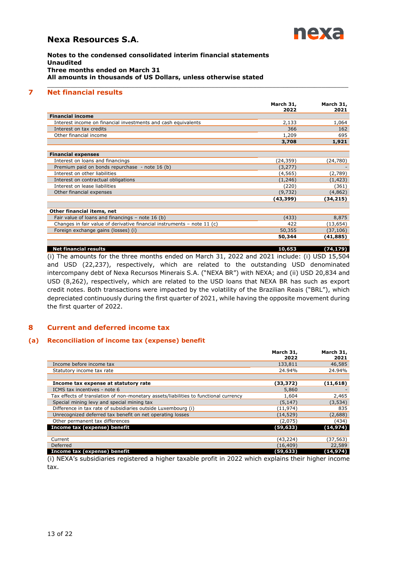

**Notes to the condensed consolidated interim financial statements Unaudited Three months ended on March 31 All amounts in thousands of US Dollars, unless otherwise stated**

## **7 Net financial results**

|                                                                         | March 31,<br>2022 | March 31,<br>2021 |
|-------------------------------------------------------------------------|-------------------|-------------------|
| <b>Financial income</b>                                                 |                   |                   |
| Interest income on financial investments and cash equivalents           | 2,133             | 1,064             |
| Interest on tax credits                                                 | 366               | 162               |
| Other financial income                                                  | 1,209             | 695               |
|                                                                         | 3,708             | 1,921             |
| <b>Financial expenses</b>                                               |                   |                   |
| Interest on loans and financings                                        | (24,359)          | (24,780)          |
| Premium paid on bonds repurchase - note 16 (b)                          | (3, 277)          |                   |
| Interest on other liabilities                                           | (4, 565)          | (2,789)           |
| Interest on contractual obligations                                     | (1,246)           | (1, 423)          |
| Interest on lease liabilities                                           | (220)             | (361)             |
| Other financial expenses                                                | (9, 732)          | (4,862)           |
|                                                                         | (43,399)          | (34,215)          |
| Other financial items, net                                              |                   |                   |
| Fair value of loans and financings $-$ note 16 (b)                      | (433)             | 8,875             |
| Changes in fair value of derivative financial instruments - note 11 (c) | 422               | (13, 654)         |
| Foreign exchange gains (losses) (i)                                     | 50,355            | (37, 106)         |
|                                                                         | 50,344            | (41,885)          |
| <b>Net financial results</b>                                            | 10,653            | (74,179)          |

<span id="page-12-0"></span>\_\_\_\_\_\_\_\_\_\_\_\_\_\_\_\_\_\_\_\_\_\_\_\_\_\_\_\_\_\_\_\_\_\_\_\_\_\_\_\_\_\_\_\_\_\_\_\_\_\_\_\_\_\_\_\_\_\_\_\_\_\_\_\_\_\_\_\_\_\_\_\_\_\_\_\_\_\_\_

(i) The amounts for the three months ended on March 31, 2022 and 2021 include: (i) USD 15,504 and USD (22,237), respectively, which are related to the outstanding USD denominated intercompany debt of Nexa Recursos Minerais S.A. ("NEXA BR") with NEXA; and (ii) USD 20,834 and USD (8,262), respectively, which are related to the USD loans that NEXA BR has such as export credit notes. Both transactions were impacted by the volatility of the Brazilian Reais ("BRL"), which depreciated continuously during the first quarter of 2021, while having the opposite movement during the first quarter of 2022.

## <span id="page-12-1"></span>**8 Current and deferred income tax**

#### **(a) Reconciliation of income tax (expense) benefit**

|                                                                                      | March 31,<br>2022 | March 31,<br>2021 |
|--------------------------------------------------------------------------------------|-------------------|-------------------|
| Income before income tax                                                             | 133,811           | 46,585            |
| Statutory income tax rate                                                            | 24.94%            | 24.94%            |
|                                                                                      |                   |                   |
| Income tax expense at statutory rate                                                 | (33, 372)         | (11, 618)         |
| ICMS tax incentives - note 6                                                         | 5,860             |                   |
| Tax effects of translation of non-monetary assets/liabilities to functional currency | 1,604             | 2,465             |
| Special mining levy and special mining tax                                           | (5, 147)          | (3, 534)          |
| Difference in tax rate of subsidiaries outside Luxembourg (i)                        | (11,974)          | 835               |
| Unrecognized deferred tax benefit on net operating losses                            | (14, 529)         | (2,688)           |
| Other permanent tax differences                                                      | (2,075)           | (434)             |
| Income tax (expense) benefit                                                         | (59, 633)         | (14, 974)         |
|                                                                                      |                   |                   |
| Current                                                                              | (43,224)          | (37,563)          |
| Deferred                                                                             | (16, 409)         | 22,589            |
| Income tax (expense) benefit                                                         | (59,633)          | (14,974)          |

(i) NEXA's subsidiaries registered a higher taxable profit in 2022 which explains their higher income tax.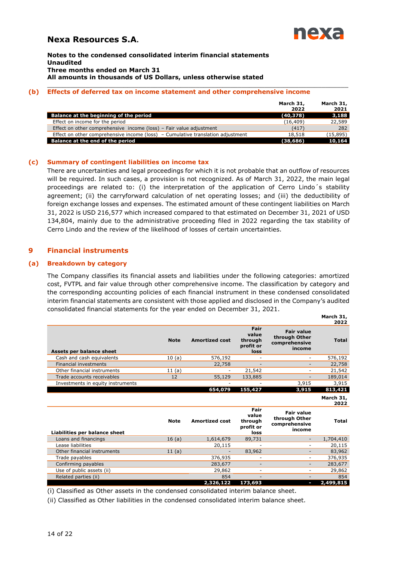

**Notes to the condensed consolidated interim financial statements Unaudited Three months ended on March 31 All amounts in thousands of US Dollars, unless otherwise stated**

#### **(b) Effects of deferred tax on income statement and other comprehensive income**

|                                                                                   | March 31,<br>2022 | March 31,<br>2021 |
|-----------------------------------------------------------------------------------|-------------------|-------------------|
| Balance at the beginning of the period                                            | (40, 378)         | 3,188             |
| Effect on income for the period                                                   | (16, 409)         | 22,589            |
| Effect on other comprehensive income (loss) - Fair value adjustment               | (417)             | 282               |
| Effect on other comprehensive income (loss) $-$ Cumulative translation adjustment | 18,518            | (15, 895)         |
| Balance at the end of the period                                                  | (38, 686)         | 10,164            |

\_\_\_\_\_\_\_\_\_\_\_\_\_\_\_\_\_\_\_\_\_\_\_\_\_\_\_\_\_\_\_\_\_\_\_\_\_\_\_\_\_\_\_\_\_\_\_\_\_\_\_\_\_\_\_\_\_\_\_\_\_\_\_\_\_\_\_\_\_\_\_\_\_\_\_\_\_\_\_

#### **(c) Summary of contingent liabilities on income tax**

There are uncertainties and legal proceedings for which it is not probable that an outflow of resources will be required. In such cases, a provision is not recognized. As of March 31, 2022, the main legal proceedings are related to: (i) the interpretation of the application of Cerro Lindo´s stability agreement; (ii) the carryforward calculation of net operating losses; and (iii) the deductibility of foreign exchange losses and expenses. The estimated amount of these contingent liabilities on March 31, 2022 is USD 216,577 which increased compared to that estimated on December 31, 2021 of USD 134,804, mainly due to the administrative proceeding filed in 2022 regarding the tax stability of Cerro Lindo and the review of the likelihood of losses of certain uncertainties.

## <span id="page-13-0"></span>**9 Financial instruments**

#### **(a) Breakdown by category**

The Company classifies its financial assets and liabilities under the following categories: amortized cost, FVTPL and fair value through other comprehensive income. The classification by category and the corresponding accounting policies of each financial instrument in these condensed consolidated interim financial statements are consistent with those applied and disclosed in the Company's audited consolidated financial statements for the year ended on December 31, 2021.

|                                   |             |                       |                                               |                                                               | March 31,<br>2022 |
|-----------------------------------|-------------|-----------------------|-----------------------------------------------|---------------------------------------------------------------|-------------------|
| Assets per balance sheet          | <b>Note</b> | <b>Amortized cost</b> | Fair<br>value<br>through<br>profit or<br>loss | <b>Fair value</b><br>through Other<br>comprehensive<br>income | <b>Total</b>      |
| Cash and cash equivalents         | 10(a)       | 576,192               |                                               | ÷,                                                            | 576,192           |
| <b>Financial investments</b>      |             | 22,758                |                                               |                                                               | 22,758            |
| Other financial instruments       | 11(a)       |                       | 21,542                                        | ٠                                                             | 21,542            |
| Trade accounts receivables        | 12          | 55,129                | 133,885                                       |                                                               | 189,014           |
| Investments in equity instruments |             |                       |                                               | 3,915                                                         | 3,915             |
|                                   |             | 654,079               | 155,427                                       | 3,915                                                         | 813,421           |
|                                   |             |                       |                                               |                                                               | March 31,<br>2022 |
|                                   |             |                       |                                               |                                                               |                   |
| Liabilities per balance sheet     | <b>Note</b> | <b>Amortized cost</b> | Fair<br>value<br>through<br>profit or<br>loss | <b>Fair value</b><br>through Other<br>comprehensive<br>income | <b>Total</b>      |
| Loans and financings              | 16(a)       | 1,614,679             | 89,731                                        |                                                               | 1,704,410         |
| Lease liabilities                 |             | 20,115                |                                               | ٠                                                             | 20,115            |
| Other financial instruments       | 11(a)       |                       | 83,962                                        | ۰                                                             | 83,962            |
| Trade payables                    |             | 376,935               | ۰                                             | ۰                                                             | 376,935           |
| Confirming payables               |             | 283,677               |                                               |                                                               | 283,677           |
| Use of public assets (ii)         |             | 29,862                | ۰                                             | ۳                                                             | 29,862            |
| Related parties (ii)              |             | 854<br>2,326,122      |                                               | ۰.                                                            | 854               |

(i) Classified as Other assets in the condensed consolidated interim balance sheet.

(ii) Classified as Other liabilities in the condensed consolidated interim balance sheet.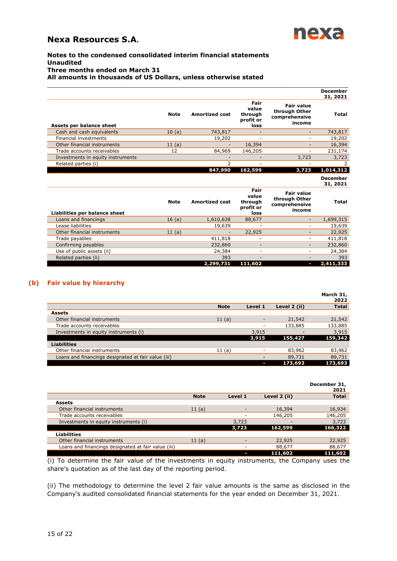

### **Notes to the condensed consolidated interim financial statements Unaudited Three months ended on March 31 All amounts in thousands of US Dollars, unless otherwise stated**

|                                   |             |                       |                                               |                                                               | December<br>31, 2021 |
|-----------------------------------|-------------|-----------------------|-----------------------------------------------|---------------------------------------------------------------|----------------------|
| Assets per balance sheet          | <b>Note</b> | <b>Amortized cost</b> | Fair<br>value<br>through<br>profit or<br>loss | <b>Fair value</b><br>through Other<br>comprehensive<br>income | <b>Total</b>         |
| Cash and cash equivalents         | 10(a)       | 743,817               |                                               |                                                               | 743,817              |
| Financial investments             |             | 19,202                |                                               |                                                               | 19,202               |
| Other financial instruments       | 11(a)       |                       | 16,394                                        |                                                               | 16,394               |
| Trade accounts receivables        | 12          | 84,969                | 146,205                                       |                                                               | 231,174              |
| Investments in equity instruments |             |                       |                                               | 3,723                                                         | 3,723                |
| Related parties (i)               |             | ∍                     | -                                             |                                                               |                      |
|                                   |             | 847,990               | 162,599                                       | 3,723                                                         | 1,014,312            |

\_\_\_\_\_\_\_\_\_\_\_\_\_\_\_\_\_\_\_\_\_\_\_\_\_\_\_\_\_\_\_\_\_\_\_\_\_\_\_\_\_\_\_\_\_\_\_\_\_\_\_\_\_\_\_\_\_\_\_\_\_\_\_\_\_\_\_\_\_\_\_\_\_\_\_\_\_\_\_

|                               |             |                       |                                               |                                                               | <b>December</b><br>31, 2021 |
|-------------------------------|-------------|-----------------------|-----------------------------------------------|---------------------------------------------------------------|-----------------------------|
| Liabilities per balance sheet | <b>Note</b> | <b>Amortized cost</b> | Fair<br>value<br>through<br>profit or<br>loss | <b>Fair value</b><br>through Other<br>comprehensive<br>income | <b>Total</b>                |
| Loans and financings          | 16(a)       | 1,610,638             | 88,677                                        |                                                               | 1,699,315                   |
| Lease liabilities             |             | 19,639                | -                                             |                                                               | 19,639                      |
| Other financial instruments   | 11(a)       |                       | 22,925                                        |                                                               | 22,925                      |
| Trade payables                |             | 411,818               | ٠                                             |                                                               | 411,818                     |
| Confirming payables           |             | 232,860               | $\overline{\phantom{a}}$                      |                                                               | 232,860                     |
| Use of public assets (ii)     |             | 24,384                | $\overline{\phantom{a}}$                      |                                                               | 24,384                      |
| Related parties (ii)          |             | 393                   | $\overline{\phantom{a}}$                      |                                                               | 393                         |
|                               |             | 2,299,731             | 111,602                                       |                                                               | 2,411,333                   |

## **(b) Fair value by hierarchy**

|                                                     |             |         |              | March 31,<br>2022 |
|-----------------------------------------------------|-------------|---------|--------------|-------------------|
|                                                     | <b>Note</b> | Level 1 | Level 2 (ii) | <b>Total</b>      |
| <b>Assets</b>                                       |             |         |              |                   |
| Other financial instruments                         | 11(a)       |         | 21,542       | 21,542            |
| Trade accounts receivables                          |             | ۰       | 133,885      | 133,885           |
| Investments in equity instruments (i)               |             | 3,915   |              | 3,915             |
|                                                     |             | 3,915   | 155,427      | 159,342           |
| <b>Liabilities</b>                                  |             |         |              |                   |
| Other financial instruments                         | 11(a)       | ۰       | 83,962       | 83,962            |
| Loans and financings designated at fair value (iii) |             |         | 89,731       | 89,731            |
|                                                     |             |         | 173,693      | 173,693           |

|                                                     |             |         |              | December 31,<br>2021 |
|-----------------------------------------------------|-------------|---------|--------------|----------------------|
|                                                     | <b>Note</b> | Level 1 | Level 2 (ii) | <b>Total</b>         |
| <b>Assets</b>                                       |             |         |              |                      |
| Other financial instruments                         | 11(a)       |         | 16,394       | 16,934               |
| Trade accounts receivables                          |             |         | 146,205      | 146,205              |
| Investments in equity instruments (i)               |             | 3,723   |              | 3,723                |
|                                                     |             | 3,723   | 162,599      | 166,322              |
| <b>Liabilities</b>                                  |             |         |              |                      |
| Other financial instruments                         | 11(a)       |         | 22,925       | 22,925               |
| Loans and financings designated at fair value (iii) |             |         | 88,677       | 88,677               |
|                                                     |             |         | 111,602      | 111,602              |

(i) To determine the fair value of the investments in equity instruments, the Company uses the share's quotation as of the last day of the reporting period.

(ii) The methodology to determine the level 2 fair value amounts is the same as disclosed in the Company's audited consolidated financial statements for the year ended on December 31, 2021.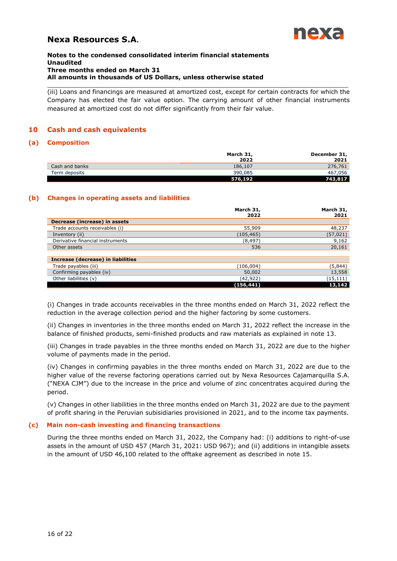

#### **Notes to the condensed consolidated interim financial statements Unaudited Three months ended on March 31 All amounts in thousands of US Dollars, unless otherwise stated**

(iii) Loans and financings are measured at amortized cost, except for certain contracts for which the Company has elected the fair value option. The carrying amount of other financial instruments measured at amortized cost do not differ significantly from their fair value.

\_\_\_\_\_\_\_\_\_\_\_\_\_\_\_\_\_\_\_\_\_\_\_\_\_\_\_\_\_\_\_\_\_\_\_\_\_\_\_\_\_\_\_\_\_\_\_\_\_\_\_\_\_\_\_\_\_\_\_\_\_\_\_\_\_\_\_\_\_\_\_\_\_\_\_\_\_\_\_

## <span id="page-15-0"></span>**10 Cash and cash equivalents**

### **(a) Composition**

|                | March 31,<br>2022 | December 31,<br>2021 |
|----------------|-------------------|----------------------|
| Cash and banks | 186,107           | 276,761              |
| Term deposits  | 390,085           | 467,056              |
|                | 576,192           | 743,817              |

### **(b) Changes in operating assets and liabilities**

|                                    | March 31,<br>2022 | March 31,<br>2021 |
|------------------------------------|-------------------|-------------------|
| Decrease (increase) in assets      |                   |                   |
| Trade accounts receivables (i)     | 55,909            | 48,237            |
| Inventory (ii)                     | (105, 465)        | (57, 021)         |
| Derivative financial instruments   | (8, 497)          | 9,162             |
| Other assets                       | 536               | 20,161            |
|                                    |                   |                   |
| Increase (decrease) in liabilities |                   |                   |
| Trade payables (iii)               | (106, 004)        | (5,844)           |
| Confirming payables (iv)           | 50,002            | 13,558            |
| Other liabilities (v)              | (42,922)          | (15, 111)         |
|                                    | (156, 441)        | 13,142            |

(i) Changes in trade accounts receivables in the three months ended on March 31, 2022 reflect the reduction in the average collection period and the higher factoring by some customers.

(ii) Changes in inventories in the three months ended on March 31, 2022 reflect the increase in the balance of finished products, semi-finished products and raw materials as explained in note 13.

(iii) Changes in trade payables in the three months ended on March 31, 2022 are due to the higher volume of payments made in the period.

(iv) Changes in confirming payables in the three months ended on March 31, 2022 are due to the higher value of the reverse factoring operations carried out by Nexa Resources Cajamarquilla S.A. ("NEXA CJM") due to the increase in the price and volume of zinc concentrates acquired during the period.

(v) Changes in other liabilities in the three months ended on March 31, 2022 are due to the payment of profit sharing in the Peruvian subisidiaries provisioned in 2021, and to the income tax payments.

#### **(c) Main non-cash investing and financing transactions**

During the three months ended on March 31, 2022, the Company had: (i) additions to right-of-use assets in the amount of USD 457 (March 31, 2021: USD 967); and (ii) additions in intangible assets in the amount of USD 46,100 related to the offtake agreement as described in note 15.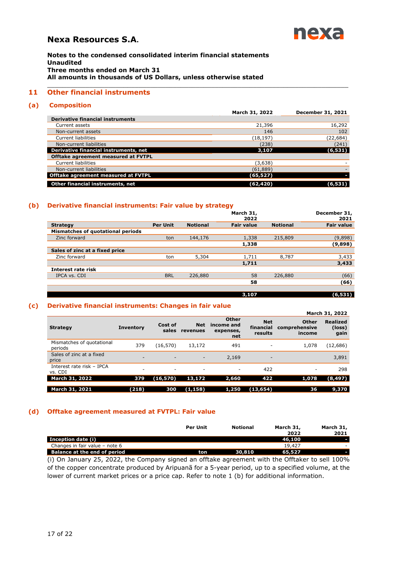

**Notes to the condensed consolidated interim financial statements Unaudited Three months ended on March 31 All amounts in thousands of US Dollars, unless otherwise stated**

## **11 Other financial instruments**

#### **(a) Composition**

|                                            | March 31, 2022 | December 31, 2021 |
|--------------------------------------------|----------------|-------------------|
| <b>Derivative financial instruments</b>    |                |                   |
| Current assets                             | 21,396         | 16,292            |
| Non-current assets                         | 146            | 102               |
| <b>Current liabilities</b>                 | (18, 197)      | (22, 684)         |
| Non-current liabilities                    | (238)          | (241)             |
| Derivative financial instruments, net      | 3,107          | (6, 531)          |
| Offtake agreement measured at FVTPL        |                |                   |
| <b>Current liabilities</b>                 | (3,638)        |                   |
| Non-current liabilities                    | (61, 889)      |                   |
| <b>Offtake agreement measured at FVTPL</b> | (65,527)       |                   |
| Other financial instruments, net           | (62,420)       |                   |

<span id="page-16-0"></span>\_\_\_\_\_\_\_\_\_\_\_\_\_\_\_\_\_\_\_\_\_\_\_\_\_\_\_\_\_\_\_\_\_\_\_\_\_\_\_\_\_\_\_\_\_\_\_\_\_\_\_\_\_\_\_\_\_\_\_\_\_\_\_\_\_\_\_\_\_\_\_\_\_\_\_\_\_\_\_

#### **(b) Derivative financial instruments: Fair value by strategy**

|                                   |                 |                 | March 31,<br>2022 |                 | December 31,<br>2021 |
|-----------------------------------|-----------------|-----------------|-------------------|-----------------|----------------------|
| <b>Strategy</b>                   | <b>Per Unit</b> | <b>Notional</b> | <b>Fair value</b> | <b>Notional</b> | <b>Fair value</b>    |
| Mismatches of quotational periods |                 |                 |                   |                 |                      |
| Zinc forward                      | ton             | 144,176         | 1,338             | 215,809         | (9,898)              |
|                                   |                 |                 | 1,338             |                 | (9,898)              |
| Sales of zinc at a fixed price    |                 |                 |                   |                 |                      |
| Zinc forward                      | ton             | 5,304           | 1,711             | 8,787           | 3,433                |
|                                   |                 |                 | 1,711             |                 | 3,433                |
| Interest rate risk                |                 |                 |                   |                 |                      |
| IPCA vs. CDI                      | <b>BRL</b>      | 226,880         | 58                | 226,880         | (66)                 |
|                                   |                 |                 | 58                |                 | (66)                 |
|                                   |                 |                 |                   |                 |                      |

**3,107 (6,531)**

#### **(c) Derivative financial instruments: Changes in fair value**

|                                      |                          |                  |                          |                                                |                                    |                                         | March 31, 2022                    |
|--------------------------------------|--------------------------|------------------|--------------------------|------------------------------------------------|------------------------------------|-----------------------------------------|-----------------------------------|
| <b>Strategy</b>                      | <b>Inventory</b>         | Cost of<br>sales | <b>Net</b><br>revenues   | <b>Other</b><br>income and<br>expenses,<br>net | <b>Net</b><br>financial<br>results | <b>Other</b><br>comprehensive<br>income | <b>Realized</b><br>(loss)<br>gain |
| Mismatches of quotational<br>periods | 379                      | (16, 570)        | 13,172                   | 491                                            |                                    | 1,078                                   | (12,686)                          |
| Sales of zinc at a fixed<br>price    | -                        | ٠                | $\overline{\phantom{a}}$ | 2,169                                          | -                                  |                                         | 3,891                             |
| Interest rate risk - IPCA<br>vs. CDI | $\overline{\phantom{a}}$ | ٠                | $\overline{\phantom{a}}$ | ٠                                              | 422                                | $\overline{\phantom{a}}$                | 298                               |
| <b>March 31, 2022</b>                | 379                      | (16, 570)        | 13,172                   | 2,660                                          | 422                                | 1,078                                   | (8, 497)                          |
| March 31, 2021                       | (218)                    | 300              | (1, 158)                 | 1,250                                          | (13, 654)                          | 36                                      | 9,370                             |

#### **(d) Offtake agreement measured at FVTPL: Fair value**

|                                     | <b>Per Unit</b> | <b>Notional</b> | March 31,<br>2022 | March 31,<br>2021        |
|-------------------------------------|-----------------|-----------------|-------------------|--------------------------|
| Inception date (i)                  |                 |                 | 46,100            |                          |
| Changes in fair value - note 6      |                 |                 | 19,427            | $\overline{\phantom{a}}$ |
| <b>Balance at the end of period</b> | ton             | 30.810          | 65,527            |                          |

(i) On January 25, 2022, the Company signed an offtake agreement with the Offtaker to sell 100% of the copper concentrate produced by Aripuanã for a 5-year period, up to a specified volume, at the lower of current market prices or a price cap. Refer to note 1 (b) for additional information.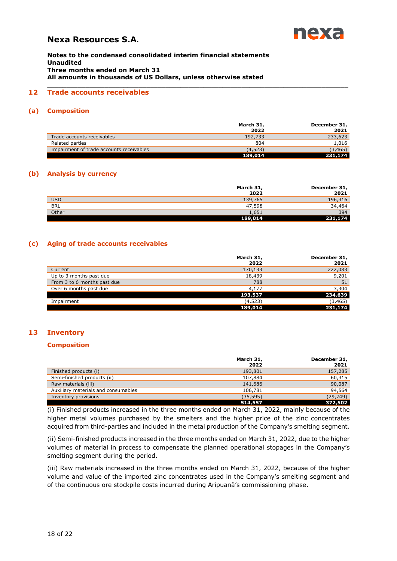

**Notes to the condensed consolidated interim financial statements Unaudited Three months ended on March 31 All amounts in thousands of US Dollars, unless otherwise stated**

## **12 Trade accounts receivables**

#### **(a) Composition**

|                                          | March 31, | December 31, |
|------------------------------------------|-----------|--------------|
|                                          | 2022      | 2021         |
| Trade accounts receivables               | 192,733   | 233,623      |
| Related parties                          | 804       | 1,016        |
| Impairment of trade accounts receivables | (4,523)   | (3, 465)     |
|                                          | 189,014   | 231,174      |

<span id="page-17-0"></span>\_\_\_\_\_\_\_\_\_\_\_\_\_\_\_\_\_\_\_\_\_\_\_\_\_\_\_\_\_\_\_\_\_\_\_\_\_\_\_\_\_\_\_\_\_\_\_\_\_\_\_\_\_\_\_\_\_\_\_\_\_\_\_\_\_\_\_\_\_\_\_\_\_\_\_\_\_\_\_

#### **(b) Analysis by currency**

|            | March 31,<br>2022 | December 31,<br>2021 |
|------------|-------------------|----------------------|
| <b>USD</b> | 139,765           | 196,316              |
| <b>BRL</b> | 47,598            | 34,464               |
| Other      | 1,651             | 394                  |
|            | 189,014           | 231,174              |

#### **(c) Aging of trade accounts receivables**

|                             | March 31,<br>2022 | December 31,<br>2021 |
|-----------------------------|-------------------|----------------------|
| Current                     | 170,133           | 222,083              |
| Up to 3 months past due     | 18,439            | 9,201                |
| From 3 to 6 months past due | 788               | 51                   |
| Over 6 months past due      | 4,177             | 3,304                |
|                             | 193,537           | 234,639              |
| Impairment                  | (4, 523)          | (3, 465)             |
|                             | 189,014           | 231,174              |

## **13 Inventory**

ĵ ĵ

#### <span id="page-17-1"></span>**Composition**

|                                     | March 31,<br>2022 | December 31,<br>2021 |
|-------------------------------------|-------------------|----------------------|
| Finished products (i)               | 193,801           | 157,285              |
| Semi-finished products (ii)         | 107,884           | 60,315               |
| Raw materials (iii)                 | 141,686           | 90,087               |
| Auxiliary materials and consumables | 106,781           | 94,564               |
| Inventory provisions                | (35, 595)         | (29, 749)            |
|                                     | 514,557           | 372,502              |

(i) Finished products increased in the three months ended on March 31, 2022, mainly because of the higher metal volumes purchased by the smelters and the higher price of the zinc concentrates acquired from third-parties and included in the metal production of the Company's smelting segment.

(ii) Semi-finished products increased in the three months ended on March 31, 2022, due to the higher volumes of material in process to compensate the planned operational stopages in the Company's smelting segment during the period.

(iii) Raw materials increased in the three months ended on March 31, 2022, because of the higher volume and value of the imported zinc concentrates used in the Company's smelting segment and of the continuous ore stockpile costs incurred during Aripuanã's commissioning phase.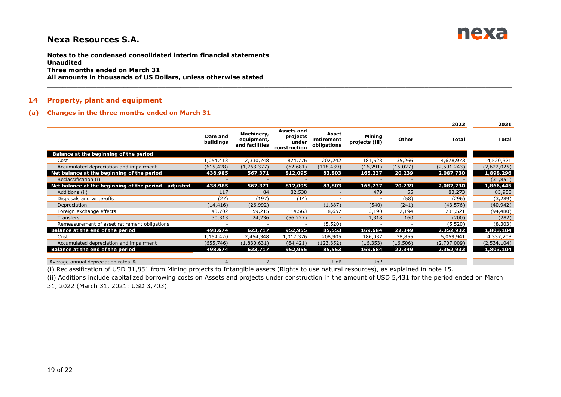

**Notes to the condensed consolidated interim financial statements Unaudited Three months ended on March 31 All amounts in thousands of US Dollars, unless otherwise stated**

#### **14 Property, plant and equipment**

#### **(a) Changes in the three months ended on March 31**

|                                                       |                      |                                            |                                                        |                                    |                          |                          | 2022          | 2021         |
|-------------------------------------------------------|----------------------|--------------------------------------------|--------------------------------------------------------|------------------------------------|--------------------------|--------------------------|---------------|--------------|
|                                                       | Dam and<br>buildings | Machinery,<br>equipment,<br>and facilities | <b>Assets and</b><br>projects<br>under<br>construction | Asset<br>retirement<br>obligations | Mining<br>projects (iii) | Other                    | <b>Total</b>  | <b>Total</b> |
| Balance at the beginning of the period                |                      |                                            |                                                        |                                    |                          |                          |               |              |
| Cost                                                  | 1,054,413            | 2,330,748                                  | 874,776                                                | 202,242                            | 181,528                  | 35,266                   | 4,678,973     | 4,520,321    |
| Accumulated depreciation and impairment               | (615, 428)           | (1,763,377)                                | (62, 681)                                              | (118, 439)                         | (16, 291)                | (15,027)                 | (2, 591, 243) | (2,622,025)  |
| Net balance at the beginning of the period            | 438,985              | 567,371                                    | 812,095                                                | 83,803                             | 165,237                  | 20,239                   | 2,087,730     | 1,898,296    |
| Reclassification (i)                                  | ٠                    | $\overline{\phantom{a}}$                   |                                                        | $\overline{\phantom{m}}$           |                          | $\overline{\phantom{a}}$ |               | (31, 851)    |
| Net balance at the beginning of the period - adjusted | 438,985              | 567,371                                    | 812,095                                                | 83,803                             | 165,237                  | 20,239                   | 2,087,730     | 1,866,445    |
| Additions (ii)                                        | 117                  | 84                                         | 82,538                                                 |                                    | 479                      | 55                       | 83,273        | 83,955       |
| Disposals and write-offs                              | (27)                 | (197)                                      | (14)                                                   |                                    |                          | (58)                     | (296)         | (3,289)      |
| Depreciation                                          | (14, 416)            | (26, 992)                                  |                                                        | (1, 387)                           | (540)                    | (241)                    | (43, 576)     | (40, 942)    |
| Foreign exchange effects                              | 43,702               | 59,215                                     | 114,563                                                | 8,657                              | 3,190                    | 2,194                    | 231,521       | (94, 480)    |
| <b>Transfers</b>                                      | 30,313               | 24,236                                     | (56, 227)                                              |                                    | 1,318                    | 160                      | (200)         | (282)        |
| Remeasurement of asset retirement obligations         | $\sim$               | $\overline{\phantom{a}}$                   |                                                        | (5,520)                            |                          | $\overline{\phantom{a}}$ | (5,520)       | (8,303)      |
| Balance at the end of the period                      | 498,674              | 623,717                                    | 952,955                                                | 85,553                             | 169,684                  | 22,349                   | 2,352,932     | 1,803,104    |
| Cost                                                  | 1,154,420            | 2,454,348                                  | 1,017,376                                              | 208,905                            | 186,037                  | 38,855                   | 5,059,941     | 4,337,208    |
| Accumulated depreciation and impairment               | (655, 746)           | (1,830,631)                                | (64, 421)                                              | (123, 352)                         | (16, 353)                | (16, 506)                | (2,707,009)   | (2,534,104)  |
| Balance at the end of the period                      | 498,674              | 623,717                                    | 952,955                                                | 85,553                             | 169,684                  | 22,349                   | 2,352,932     | 1,803,104    |
| Average annual depreciation rates %                   | 4                    |                                            |                                                        | <b>UoP</b>                         | <b>UoP</b>               |                          |               |              |

 $\Box \Box \Box \Box \Box \Box \Box \Box \Box$  . The set of the set of the set of the set of the set of the set of the set of the set of the set of the set of the set of the set of the set of the set of the set of the set of the set of the set of

<span id="page-18-0"></span>(i) Reclassification of USD 31,851 from Mining projects to Intangible assets (Rights to use natural resources), as explained in note 15.

(ii) Additions include capitalized borrowing costs on Assets and projects under construction in the amount of USD 5,431 for the period ended on March 31, 2022 (March 31, 2021: USD 3,703).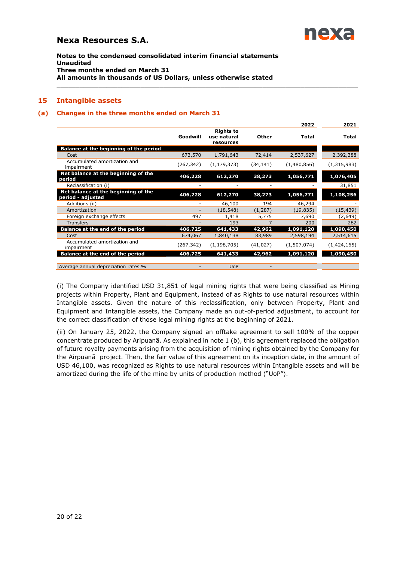

**Notes to the condensed consolidated interim financial statements Unaudited Three months ended on March 31 All amounts in thousands of US Dollars, unless otherwise stated**

### **15 Intangible assets**

#### **(a) Changes in the three months ended on March 31**

|                                                          |            |                                              |           | 2022         | 2021         |
|----------------------------------------------------------|------------|----------------------------------------------|-----------|--------------|--------------|
|                                                          | Goodwill   | <b>Rights to</b><br>use natural<br>resources | Other     | <b>Total</b> | <b>Total</b> |
| Balance at the beginning of the period                   |            |                                              |           |              |              |
| Cost                                                     | 673,570    | 1,791,643                                    | 72,414    | 2,537,627    | 2,392,388    |
| Accumulated amortization and<br>impairment               | (267, 342) | (1, 179, 373)                                | (34, 141) | (1,480,856)  | (1,315,983)  |
| Net balance at the beginning of the<br>period            | 406,228    | 612,270                                      | 38,273    | 1,056,771    | 1,076,405    |
| Reclassification (i)                                     | ۰          |                                              |           |              | 31,851       |
| Net balance at the beginning of the<br>period - adjusted | 406,228    | 612,270                                      | 38,273    | 1,056,771    | 1,108,256    |
| Additions (ii)                                           |            | 46,100                                       | 194       | 46,294       |              |
| Amortization                                             |            | (18, 548)                                    | (1, 287)  | (19, 835)    | (15, 439)    |
| Foreign exchange effects                                 | 497        | 1,418                                        | 5,775     | 7,690        | (2,649)      |
| <b>Transfers</b>                                         |            | 193                                          |           | 200          | 282          |
| Balance at the end of the period                         | 406,725    | 641,433                                      | 42,962    | 1,091,120    | 1,090,450    |
| Cost                                                     | 674,067    | 1,840,138                                    | 83,989    | 2,598,194    | 2,514,615    |
| Accumulated amortization and<br>impairment               | (267,342)  | (1, 198, 705)                                | (41, 027) | (1,507,074)  | (1,424,165)  |
| <b>Balance at the end of the period</b>                  | 406,725    | 641,433                                      | 42,962    | 1,091,120    | 1,090,450    |
| Average annual depreciation rates %                      | ٠          | <b>UoP</b>                                   | -         |              |              |

<span id="page-19-0"></span>\_\_\_\_\_\_\_\_\_\_\_\_\_\_\_\_\_\_\_\_\_\_\_\_\_\_\_\_\_\_\_\_\_\_\_\_\_\_\_\_\_\_\_\_\_\_\_\_\_\_\_\_\_\_\_\_\_\_\_\_\_\_\_\_\_\_\_\_\_\_\_\_\_\_\_\_\_\_\_

(i) The Company identified USD 31,851 of legal mining rights that were being classified as Mining projects within Property, Plant and Equipment, instead of as Rights to use natural resources within Intangible assets. Given the nature of this reclassification, only between Property, Plant and Equipment and Intangible assets, the Company made an out-of-period adjustment, to account for the correct classification of those legal mining rights at the beginning of 2021.

(ii) On January 25, 2022, the Company signed an offtake agreement to sell 100% of the copper concentrate produced by Aripuanã. As explained in note 1 (b), this agreement replaced the obligation of future royalty payments arising from the acquisition of mining rights obtained by the Company for the Airpuanã project. Then, the fair value of this agreement on its inception date, in the amount of USD 46,100, was recognized as Rights to use natural resources within Intangible assets and will be amortized during the life of the mine by units of production method ("UoP").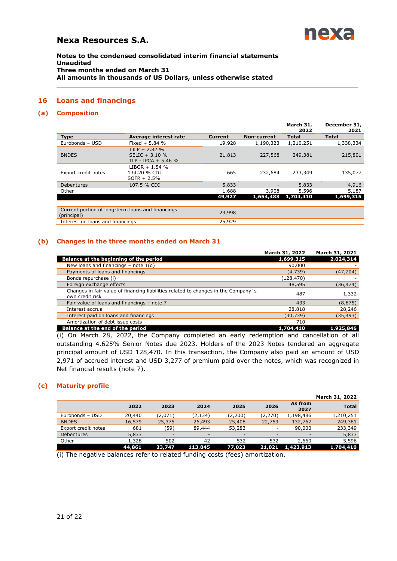

**Notes to the condensed consolidated interim financial statements Unaudited Three months ended on March 31 All amounts in thousands of US Dollars, unless otherwise stated**

## **16 Loans and financings**

## **(a) Composition**

|                                  |                                                            |                |             | March 31,<br>2022 | December 31,<br>2021 |
|----------------------------------|------------------------------------------------------------|----------------|-------------|-------------------|----------------------|
| <b>Type</b>                      | Average interest rate                                      | <b>Current</b> | Non-current | <b>Total</b>      | <b>Total</b>         |
| Eurobonds - USD                  | Fixed $+ 5.84$ %                                           | 19,928         | 1,190,323   | 1,210,251         | 1,338,334            |
| <b>BNDES</b>                     | $TJLP + 2.82 %$<br>SELIC + 3.10 %<br>TLP - IPCA + 5.46 $%$ | 21,813         | 227,568     | 249,381           | 215,801              |
| Export credit notes              | $LIBOR + 1.54 %$<br>134.20 % CDI<br>$SOFR + 2.5%$          | 665            | 232,684     | 233,349           | 135,077              |
| Debentures                       | 107.5 % CDI                                                | 5,833          |             | 5,833             | 4,916                |
| Other                            |                                                            | 1,688          | 3,908       | 5,596             | 5,187                |
|                                  |                                                            | 49,927         | 1,654,483   | 1,704,410         | 1,699,315            |
| (principal)                      | Current portion of long-term loans and financings          | 23,998         |             |                   |                      |
| Interest on loans and financings |                                                            | 25,929         |             |                   |                      |
|                                  |                                                            |                |             |                   |                      |

<span id="page-20-0"></span>\_\_\_\_\_\_\_\_\_\_\_\_\_\_\_\_\_\_\_\_\_\_\_\_\_\_\_\_\_\_\_\_\_\_\_\_\_\_\_\_\_\_\_\_\_\_\_\_\_\_\_\_\_\_\_\_\_\_\_\_\_\_\_\_\_\_\_\_\_\_\_\_\_\_\_\_\_\_\_

### **(b) Changes in the three months ended on March 31**

|                                                                                                       | March 31, 2022 | March 31, 2021 |
|-------------------------------------------------------------------------------------------------------|----------------|----------------|
| Balance at the beginning of the period                                                                | 1,699,315      | 2,024,314      |
| New loans and financings $-$ note $1(d)$                                                              | 90,000         |                |
| Payments of loans and financings                                                                      | (4,739)        | (47, 204)      |
| Bonds repurchase (i)                                                                                  | (128,470)      |                |
| Foreign exchange effects                                                                              | 48,595         | (36, 474)      |
| Changes in fair value of financing liabilities related to changes in the Company's<br>own credit risk | 487            | 1,332          |
| Fair value of loans and financings - note 7                                                           | 433            | (8, 875)       |
| Interest accrual                                                                                      | 28,818         | 28,246         |
| Interest paid on loans and financings                                                                 | (30, 739)      | (35, 493)      |
| Amortization of debt issue costs                                                                      | 710            |                |
| Balance at the end of the period                                                                      | 1,704,410      | 1,925,846      |

(i) On March 28, 2022, the Company completed an early redemption and cancellation of all outstanding 4.625% Senior Notes due 2023. Holders of the 2023 Notes tendered an aggregate principal amount of USD 128,470. In this transaction, the Company also paid an amount of USD 2,971 of accrued interest and USD 3,277 of premium paid over the notes, which was recognized in Net financial results (note 7).

## **(c) Maturity profile**

|                     |        |         |          |                          |                          |                 | March 31, 2022 |
|---------------------|--------|---------|----------|--------------------------|--------------------------|-----------------|----------------|
|                     | 2022   | 2023    | 2024     | 2025                     | 2026                     | As from<br>2027 | <b>Total</b>   |
| Eurobonds - USD     | 20,440 | (2,071) | (2, 134) | (2,200)                  | (2,270)                  | 1,198,486       | 1,210,251      |
| <b>BNDES</b>        | 16,579 | 25,375  | 26,493   | 25,408                   | 22,759                   | 132,767         | 249,381        |
| Export credit notes | 681    | (59)    | 89,444   | 53,283                   | $\overline{\phantom{a}}$ | 90,000          | 233,349        |
| <b>Debentures</b>   | 5,833  | -       |          | $\overline{\phantom{a}}$ | $\overline{\phantom{a}}$ |                 | 5,833          |
| Other               | 1,328  | 502     | 42       | 532                      | 532                      | 2,660           | 5,596          |
|                     | 44,861 | 23,747  | 113,845  | 77,023                   | 21,021                   | 1,423,913       | 1,704,410      |

(i) The negative balances refer to related funding costs (fees) amortization.